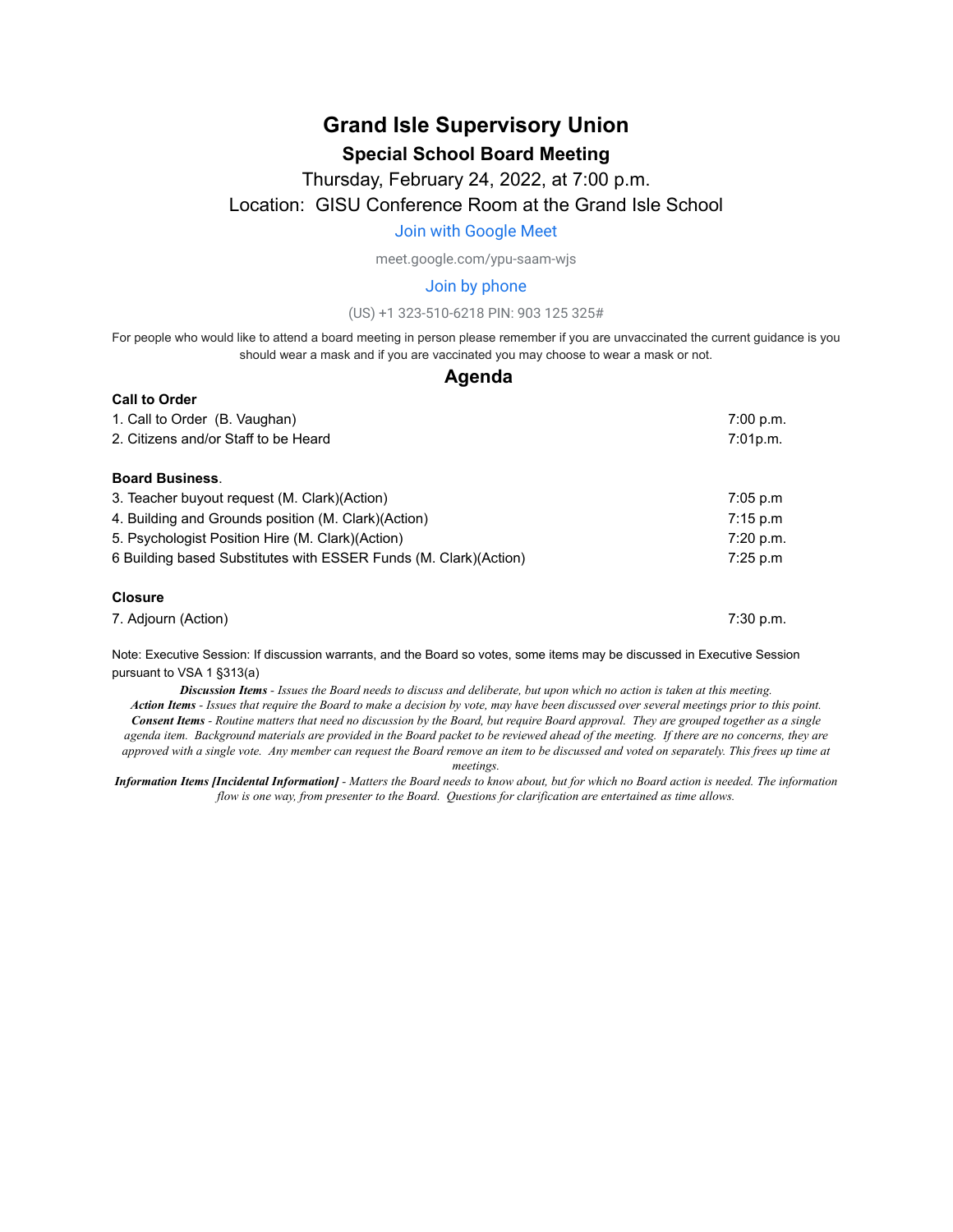# **Grand Isle Supervisory Union Special School Board Meeting**

# Thursday, February 24, 2022, at 7:00 p.m. Location: GISU Conference Room at the Grand Isle School

#### [Join with Google Meet](https://meet.google.com/ypu-saam-wjs?authuser=0&hs=122)

meet.google.com/ypu-saam-wjs

#### Join by phone

#### (US) +1 323-510-6218 PIN: 903 125 325#

For people who would like to attend a board meeting in person please remember if you are unvaccinated the current guidance is you should wear a mask and if you are vaccinated you may choose to wear a mask or not.

#### **Agenda**

| <b>Call to Order</b>                                                  | 7:00 p.m.<br>7:01p.m. |
|-----------------------------------------------------------------------|-----------------------|
| 1. Call to Order (B. Vaughan)<br>2. Citizens and/or Staff to be Heard |                       |
|                                                                       |                       |
| 3. Teacher buyout request (M. Clark) (Action)                         | 7:05 p.m              |
| 4. Building and Grounds position (M. Clark) (Action)                  | 7:15 p.m              |
| 5. Psychologist Position Hire (M. Clark) (Action)                     | 7:20 p.m.             |
| 6 Building based Substitutes with ESSER Funds (M. Clark) (Action)     | 7:25 p.m              |
| <b>Closure</b>                                                        |                       |
| 7. Adjourn (Action)                                                   | 7:30 p.m.             |

Note: Executive Session: If discussion warrants, and the Board so votes, some items may be discussed in Executive Session pursuant to VSA 1 §313(a)

Discussion Items - Issues the Board needs to discuss and deliberate, but upon which no action is taken at this meeting. Action Items - Issues that require the Board to make a decision by vote, may have been discussed over several meetings prior to this point. Consent Items - Routine matters that need no discussion by the Board, but require Board approval. They are grouped together as a single

agenda item. Background materials are provided in the Board packet to be reviewed ahead of the meeting. If there are no concerns, they are approved with a single vote. Any member can request the Board remove an item to be discussed and voted on separately. This frees up time at *meetings.*

Information Items [Incidental Information] - Matters the Board needs to know about, but for which no Board action is needed. The information *flow is one way, from presenter to the Board. Questions for clarification are entertained as time allows.*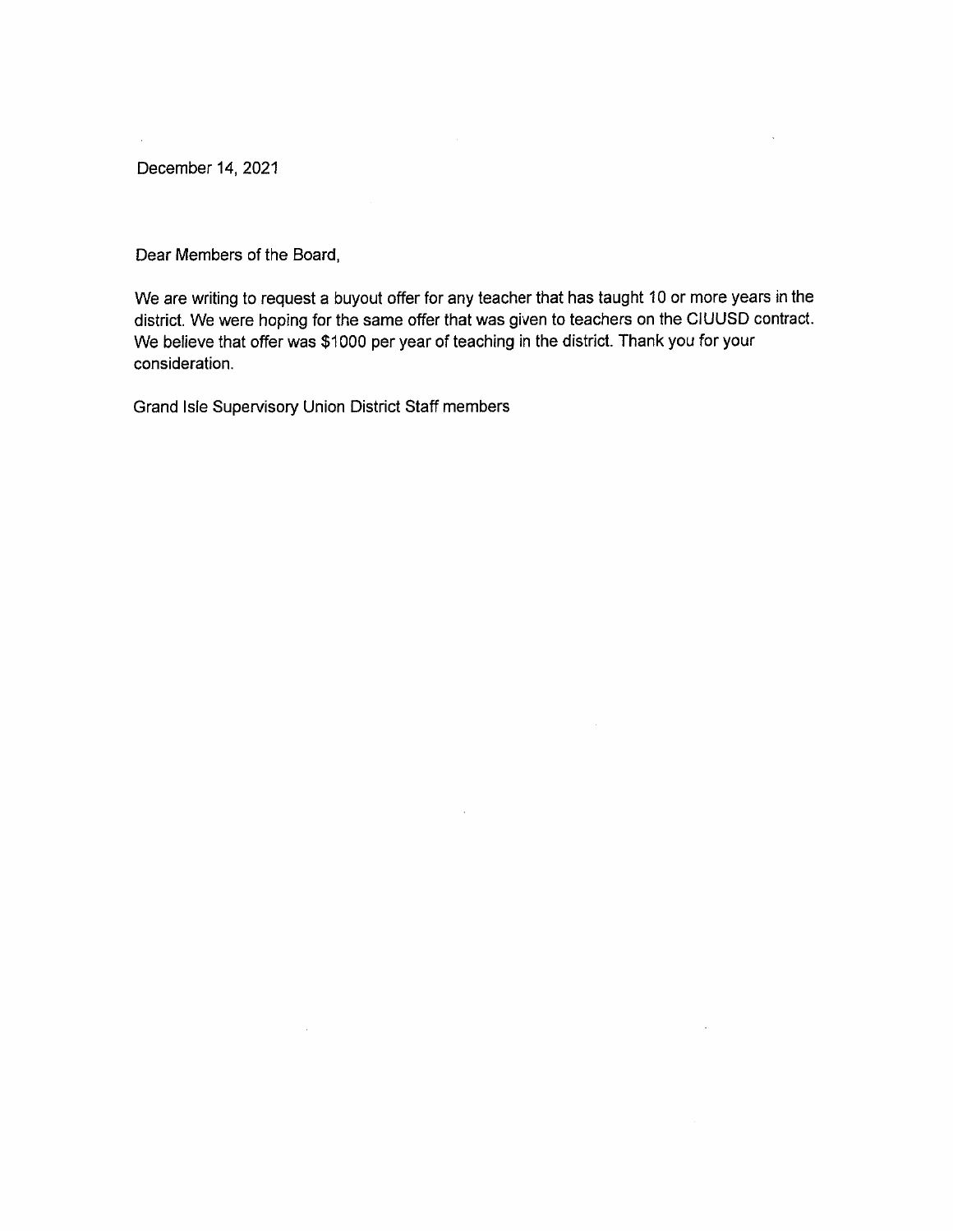December 14, 2021

 $\mathcal{L}^{\mathcal{L}}$ 

Dear Members of the Board,

We are writing to request a buyout offer for any teacher that has taught 10 or more years in the district. We were hoping for the same offer that was given to teachers on the CIUUSD contract. We believe that offer was \$1000 per year of teaching in the district. Thank you for your consideration.

Grand Isle Supervisory Union District Staff members

 $\sim$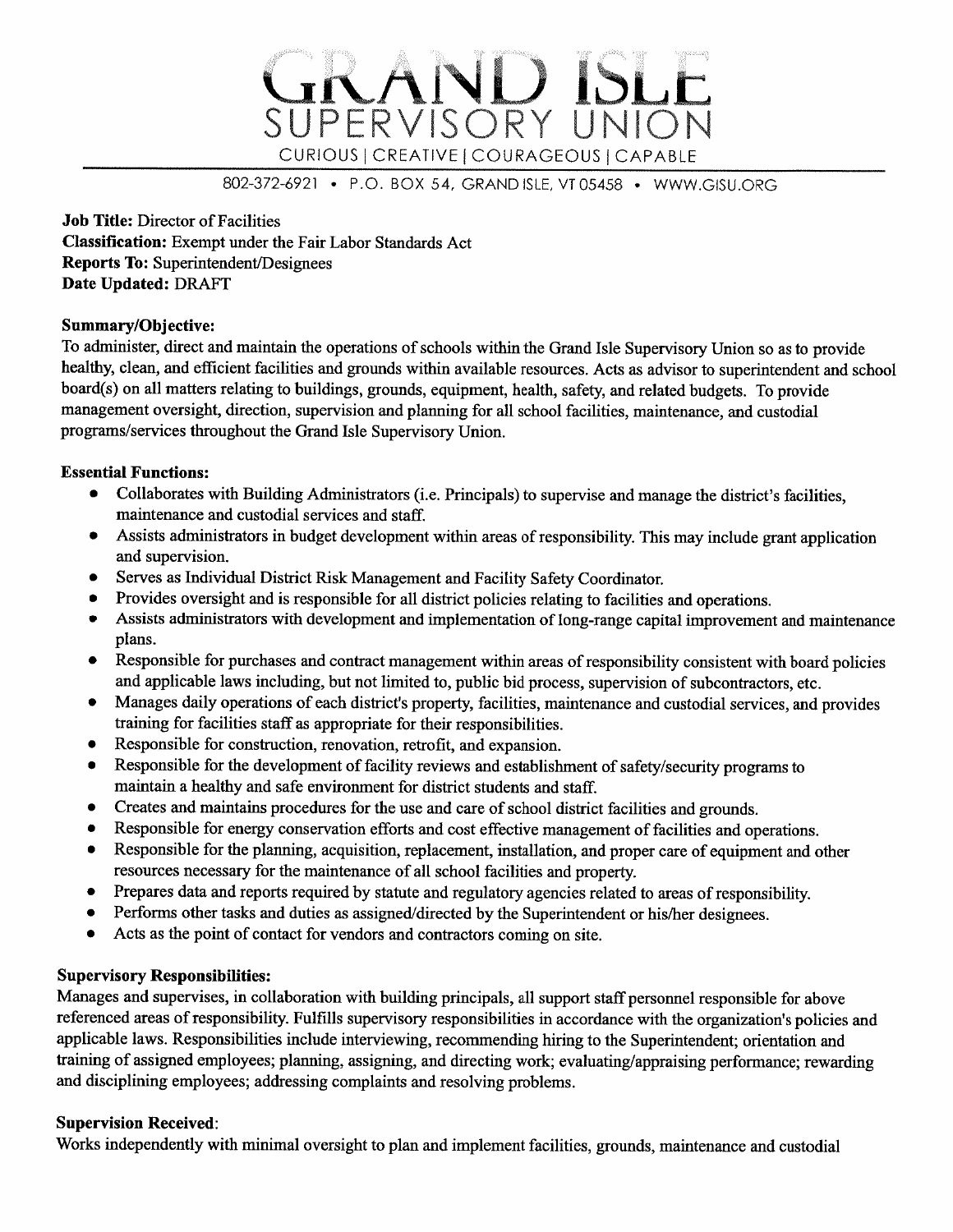

802-372-6921 • P.O. BOX 54, GRAND ISLE, VT 05458 • WWW.GISU.ORG

**Job Title: Director of Facilities Classification:** Exempt under the Fair Labor Standards Act **Reports To: Superintendent/Designees** Date Updated: DRAFT

# **Summary/Objective:**

To administer, direct and maintain the operations of schools within the Grand Isle Supervisory Union so as to provide healthy, clean, and efficient facilities and grounds within available resources. Acts as advisor to superintendent and school board(s) on all matters relating to buildings, grounds, equipment, health, safety, and related budgets. To provide management oversight, direction, supervision and planning for all school facilities, maintenance, and custodial programs/services throughout the Grand Isle Supervisory Union.

### **Essential Functions:**

- Collaborates with Building Administrators (i.e. Principals) to supervise and manage the district's facilities, maintenance and custodial services and staff.
- Assists administrators in budget development within areas of responsibility. This may include grant application  $\bullet$ and supervision.
- Serves as Individual District Risk Management and Facility Safety Coordinator.  $\bullet$
- Provides oversight and is responsible for all district policies relating to facilities and operations.  $\bullet$
- Assists administrators with development and implementation of long-range capital improvement and maintenance  $\bullet$ plans.
- Responsible for purchases and contract management within areas of responsibility consistent with board policies and applicable laws including, but not limited to, public bid process, supervision of subcontractors, etc.
- Manages daily operations of each district's property, facilities, maintenance and custodial services, and provides  $\bullet$ training for facilities staff as appropriate for their responsibilities.
- Responsible for construction, renovation, retrofit, and expansion.  $\bullet$
- Responsible for the development of facility reviews and establishment of safety/security programs to  $\bullet$ maintain a healthy and safe environment for district students and staff.
- Creates and maintains procedures for the use and care of school district facilities and grounds.  $\bullet$
- Responsible for energy conservation efforts and cost effective management of facilities and operations.  $\bullet$
- Responsible for the planning, acquisition, replacement, installation, and proper care of equipment and other resources necessary for the maintenance of all school facilities and property.
- Prepares data and reports required by statute and regulatory agencies related to areas of responsibility.
- Performs other tasks and duties as assigned/directed by the Superintendent or his/her designees.  $\bullet$
- Acts as the point of contact for vendors and contractors coming on site.

# **Supervisory Responsibilities:**

Manages and supervises, in collaboration with building principals, all support staff personnel responsible for above referenced areas of responsibility. Fulfills supervisory responsibilities in accordance with the organization's policies and applicable laws. Responsibilities include interviewing, recommending hiring to the Superintendent; orientation and training of assigned employees; planning, assigning, and directing work; evaluating/appraising performance; rewarding and disciplining employees; addressing complaints and resolving problems.

#### **Supervision Received:**

Works independently with minimal oversight to plan and implement facilities, grounds, maintenance and custodial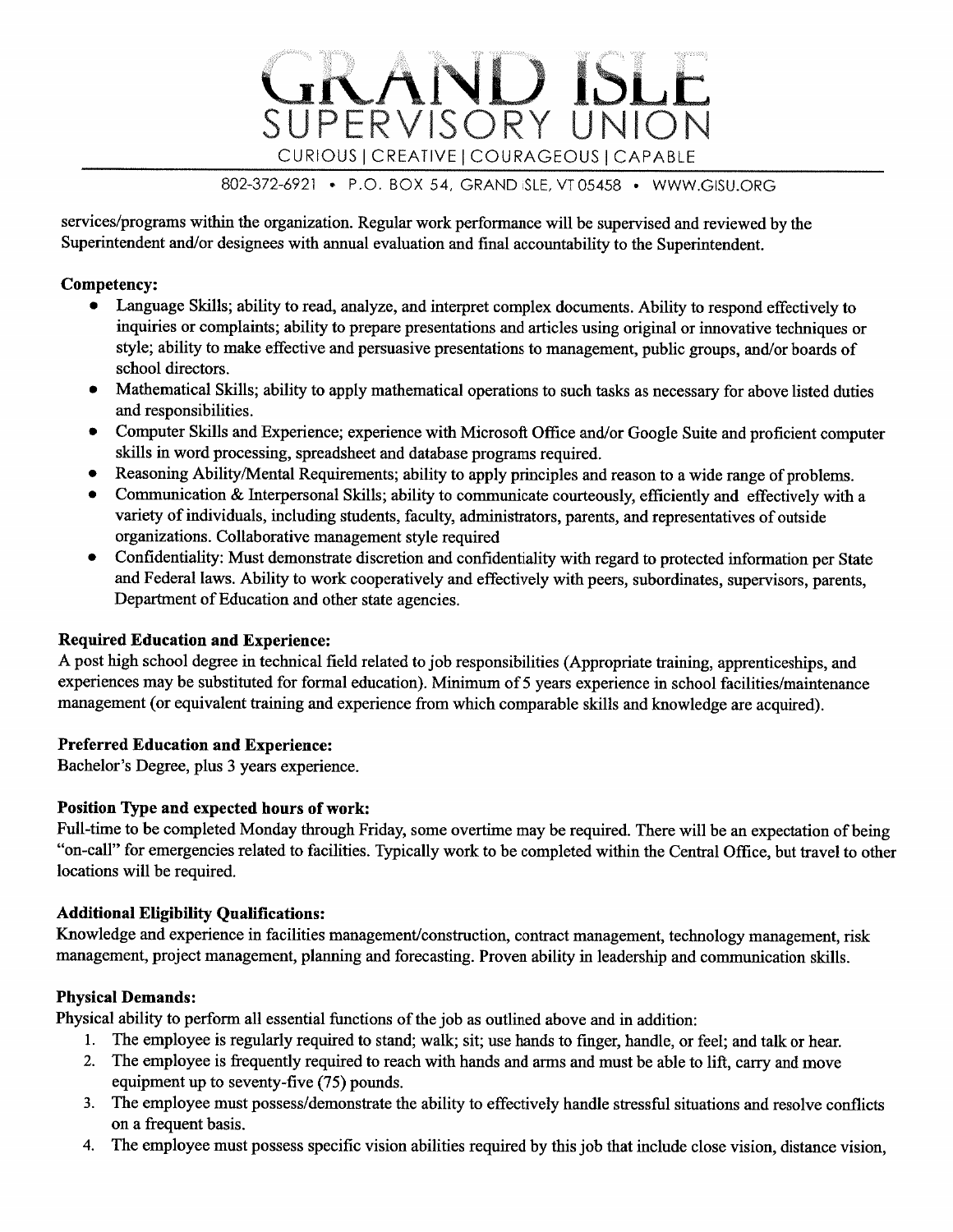# 802-372-6921 • P.O. BOX 54, GRAND ISLE, VT 05458 • WWW.GISU.ORG

CURIOUS | CREATIVE | COURAGEOUS | CAPABLE

SUPERVISORY UNION

services/programs within the organization. Regular work performance will be supervised and reviewed by the Superintendent and/or designees with annual evaluation and final accountability to the Superintendent.

### Competency:

- Language Skills; ability to read, analyze, and interpret complex documents. Ability to respond effectively to inquiries or complaints; ability to prepare presentations and articles using original or innovative techniques or style; ability to make effective and persuasive presentations to management, public groups, and/or boards of school directors.
- Mathematical Skills; ability to apply mathematical operations to such tasks as necessary for above listed duties  $\bullet$ and responsibilities.
- Computer Skills and Experience; experience with Microsoft Office and/or Google Suite and proficient computer skills in word processing, spreadsheet and database programs required.
- Reasoning Ability/Mental Requirements; ability to apply principles and reason to a wide range of problems.  $\bullet$
- Communication & Interpersonal Skills; ability to communicate courteously, efficiently and effectively with a  $\bullet$ variety of individuals, including students, faculty, administrators, parents, and representatives of outside organizations. Collaborative management style required
- Confidentiality: Must demonstrate discretion and confidentiality with regard to protected information per State  $\bullet$ and Federal laws. Ability to work cooperatively and effectively with peers, subordinates, supervisors, parents, Department of Education and other state agencies.

# **Required Education and Experience:**

A post high school degree in technical field related to job responsibilities (Appropriate training, apprenticeships, and experiences may be substituted for formal education). Minimum of 5 years experience in school facilities/maintenance management (or equivalent training and experience from which comparable skills and knowledge are acquired).

# **Preferred Education and Experience:**

Bachelor's Degree, plus 3 years experience.

# Position Type and expected hours of work:

Full-time to be completed Monday through Friday, some overtime may be required. There will be an expectation of being "on-call" for emergencies related to facilities. Typically work to be completed within the Central Office, but travel to other locations will be required.

#### **Additional Eligibility Qualifications:**

Knowledge and experience in facilities management/construction, contract management, technology management, risk management, project management, planning and forecasting. Proven ability in leadership and communication skills.

# **Physical Demands:**

Physical ability to perform all essential functions of the job as outlined above and in addition:

- 1. The employee is regularly required to stand; walk; sit; use hands to finger, handle, or feel; and talk or hear.
- The employee is frequently required to reach with hands and arms and must be able to lift, carry and move  $2.$ equipment up to seventy-five (75) pounds.
- The employee must possess/demonstrate the ability to effectively handle stressful situations and resolve conflicts 3. on a frequent basis.
- The employee must possess specific vision abilities required by this job that include close vision, distance vision, 4.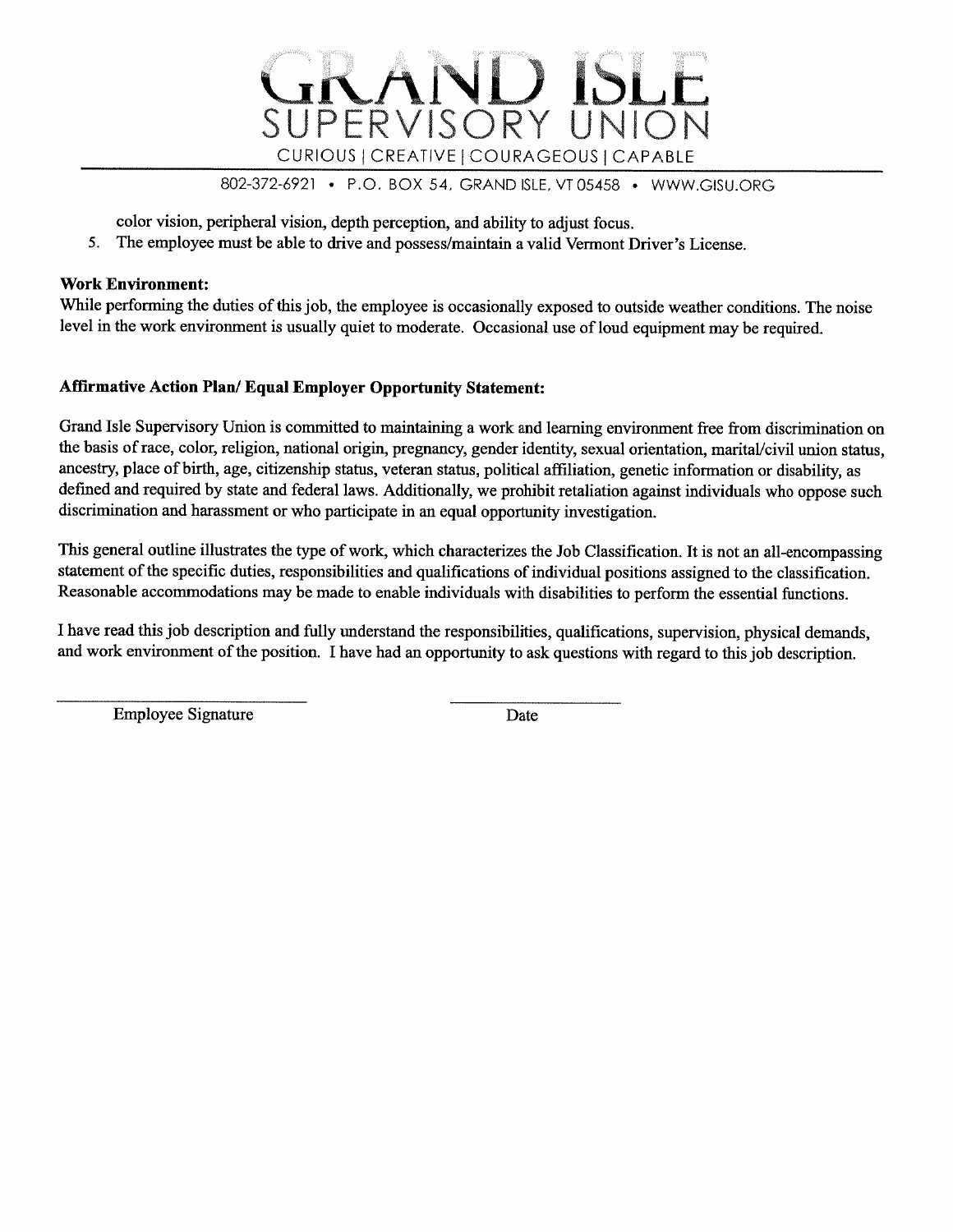

802-372-6921 • P.O. BOX 54, GRAND ISLE, VT 05458 • WWW.GISU.ORG

color vision, peripheral vision, depth perception, and ability to adjust focus.

5. The employee must be able to drive and possess/maintain a valid Vermont Driver's License.

#### **Work Environment:**

While performing the duties of this job, the employee is occasionally exposed to outside weather conditions. The noise level in the work environment is usually quiet to moderate. Occasional use of loud equipment may be required.

# **Affirmative Action Plan/ Equal Employer Opportunity Statement:**

Grand Isle Supervisory Union is committed to maintaining a work and learning environment free from discrimination on the basis of race, color, religion, national origin, pregnancy, gender identity, sexual orientation, marital/civil union status, ancestry, place of birth, age, citizenship status, veteran status, political affiliation, genetic information or disability, as defined and required by state and federal laws. Additionally, we prohibit retaliation against individuals who oppose such discrimination and harassment or who participate in an equal opportunity investigation.

This general outline illustrates the type of work, which characterizes the Job Classification. It is not an all-encompassing statement of the specific duties, responsibilities and qualifications of individual positions assigned to the classification. Reasonable accommodations may be made to enable individuals with disabilities to perform the essential functions.

I have read this job description and fully understand the responsibilities, qualifications, supervision, physical demands, and work environment of the position. I have had an opportunity to ask questions with regard to this job description.

**Employee Signature** 

Date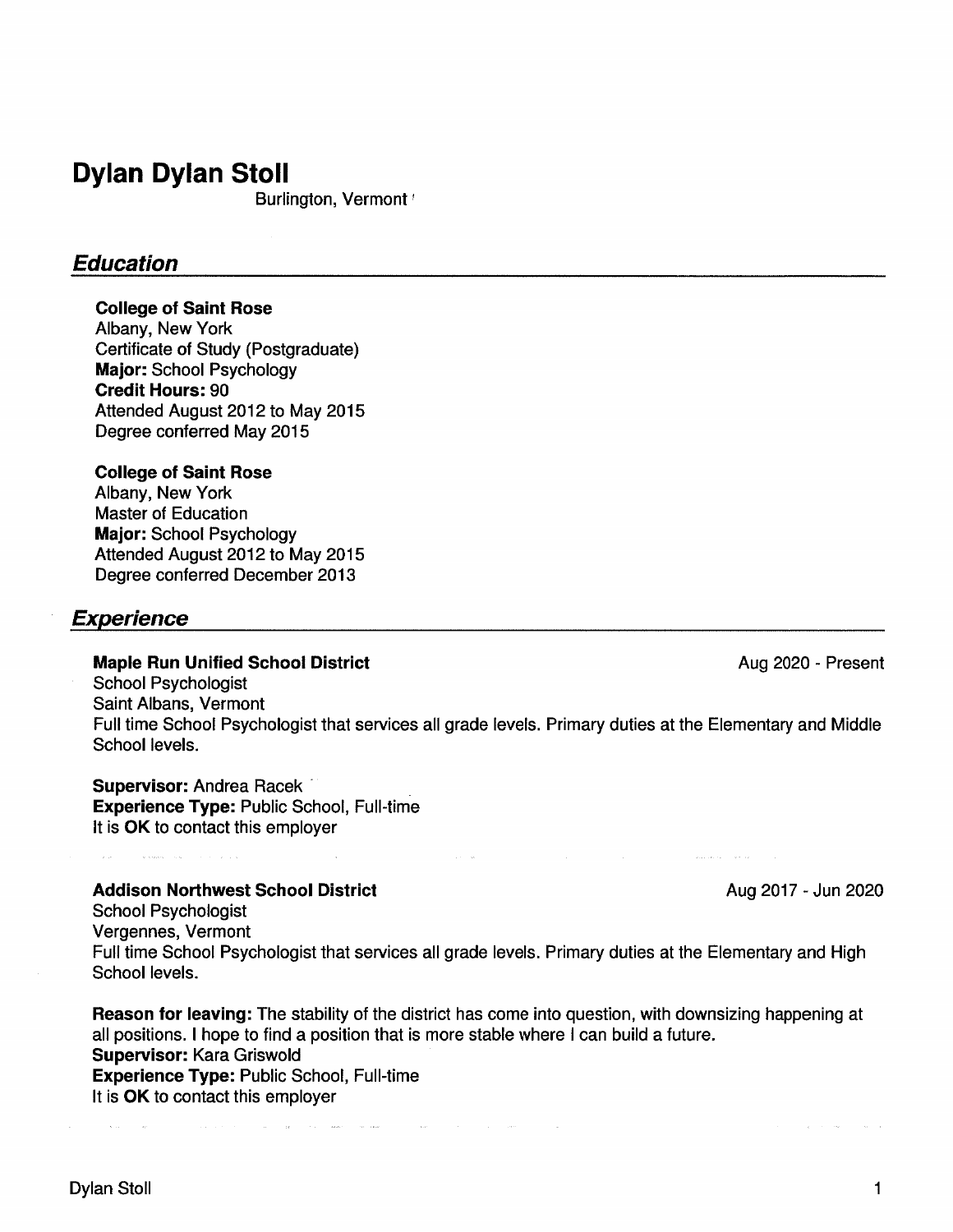# **Dylan Dylan Stoll**

Burlington, Vermont<sup>1</sup>

# **Education**

### **College of Saint Rose**

Albany, New York Certificate of Study (Postgraduate) Major: School Psychology **Credit Hours: 90** Attended August 2012 to May 2015 Degree conferred May 2015

### **College of Saint Rose**

Albany, New York **Master of Education Major: School Psychology** Attended August 2012 to May 2015 Degree conferred December 2013

# **Experience**

#### **Maple Run Unified School District**

Aug 2020 - Present

**School Psychologist** Saint Albans, Vermont Full time School Psychologist that services all grade levels. Primary duties at the Elementary and Middle School levels.

Supervisor: Andrea Racek **Experience Type: Public School, Full-time** It is OK to contact this employer

# **Addison Northwest School District**

Aug 2017 - Jun 2020

**School Psychologist** Vergennes, Vermont Full time School Psychologist that services all grade levels. Primary duties at the Elementary and High School levels.

Reason for leaving: The stability of the district has come into question, with downsizing happening at all positions. I hope to find a position that is more stable where I can build a future. Supervisor: Kara Griswold Experience Type: Public School, Full-time It is OK to contact this employer